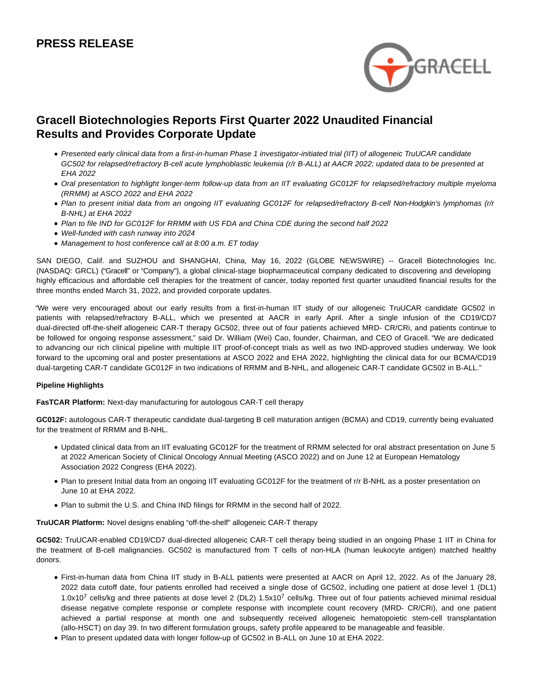# **PRESS RELEASE**



# **Gracell Biotechnologies Reports First Quarter 2022 Unaudited Financial Results and Provides Corporate Update**

- Presented early clinical data from a first-in-human Phase 1 investigator-initiated trial (IIT) of allogeneic TruUCAR candidate GC502 for relapsed/refractory B-cell acute lymphoblastic leukemia (r/r B-ALL) at AACR 2022; updated data to be presented at EHA 2022
- Oral presentation to highlight longer-term follow-up data from an IIT evaluating GC012F for relapsed/refractory multiple myeloma (RRMM) at ASCO 2022 and EHA 2022
- Plan to present initial data from an ongoing IIT evaluating GC012F for relapsed/refractory B-cell Non-Hodgkin's lymphomas (r/r B-NHL) at EHA 2022
- Plan to file IND for GC012F for RRMM with US FDA and China CDE during the second half 2022
- Well-funded with cash runway into 2024
- Management to host conference call at 8:00 a.m. ET today

SAN DIEGO, Calif. and SUZHOU and SHANGHAI, China, May 16, 2022 (GLOBE NEWSWIRE) -- Gracell Biotechnologies Inc. (NASDAQ: GRCL) ("Gracell" or "Company"), a global clinical-stage biopharmaceutical company dedicated to discovering and developing highly efficacious and affordable cell therapies for the treatment of cancer, today reported first quarter unaudited financial results for the three months ended March 31, 2022, and provided corporate updates.

"We were very encouraged about our early results from a first-in-human IIT study of our allogeneic TruUCAR candidate GC502 in patients with relapsed/refractory B-ALL, which we presented at AACR in early April. After a single infusion of the CD19/CD7 dual-directed off-the-shelf allogeneic CAR-T therapy GC502, three out of four patients achieved MRD- CR/CRi, and patients continue to be followed for ongoing response assessment," said Dr. William (Wei) Cao, founder, Chairman, and CEO of Gracell. "We are dedicated to advancing our rich clinical pipeline with multiple IIT proof-of-concept trials as well as two IND-approved studies underway. We look forward to the upcoming oral and poster presentations at ASCO 2022 and EHA 2022, highlighting the clinical data for our BCMA/CD19 dual-targeting CAR-T candidate GC012F in two indications of RRMM and B-NHL, and allogeneic CAR-T candidate GC502 in B-ALL."

#### **Pipeline Highlights**

**FasTCAR Platform:** Next-day manufacturing for autologous CAR-T cell therapy

**GC012F:** autologous CAR-T therapeutic candidate dual-targeting B cell maturation antigen (BCMA) and CD19, currently being evaluated for the treatment of RRMM and B-NHL.

- Updated clinical data from an IIT evaluating GC012F for the treatment of RRMM selected for oral abstract presentation on June 5 at 2022 American Society of Clinical Oncology Annual Meeting (ASCO 2022) and on June 12 at European Hematology Association 2022 Congress (EHA 2022).
- Plan to present Initial data from an ongoing IIT evaluating GC012F for the treatment of r/r B-NHL as a poster presentation on June 10 at EHA 2022.
- Plan to submit the U.S. and China IND filings for RRMM in the second half of 2022.

**TruUCAR Platform:** Novel designs enabling "off-the-shelf" allogeneic CAR-T therapy

**GC502:** TruUCAR-enabled CD19/CD7 dual-directed allogeneic CAR-T cell therapy being studied in an ongoing Phase 1 IIT in China for the treatment of B-cell malignancies. GC502 is manufactured from T cells of non-HLA (human leukocyte antigen) matched healthy donors.

- First-in-human data from China IIT study in B-ALL patients were presented at AACR on April 12, 2022. As of the January 28, 2022 data cutoff date, four patients enrolled had received a single dose of GC502, including one patient at dose level 1 (DL1) 1.0x10<sup>7</sup> cells/kg and three patients at dose level 2 (DL2) 1.5x10<sup>7</sup> cells/kg. Three out of four patients achieved minimal residual disease negative complete response or complete response with incomplete count recovery (MRD- CR/CRi), and one patient achieved a partial response at month one and subsequently received allogeneic hematopoietic stem-cell transplantation (allo-HSCT) on day 39. In two different formulation groups, safety profile appeared to be manageable and feasible.
- Plan to present updated data with longer follow-up of GC502 in B-ALL on June 10 at EHA 2022.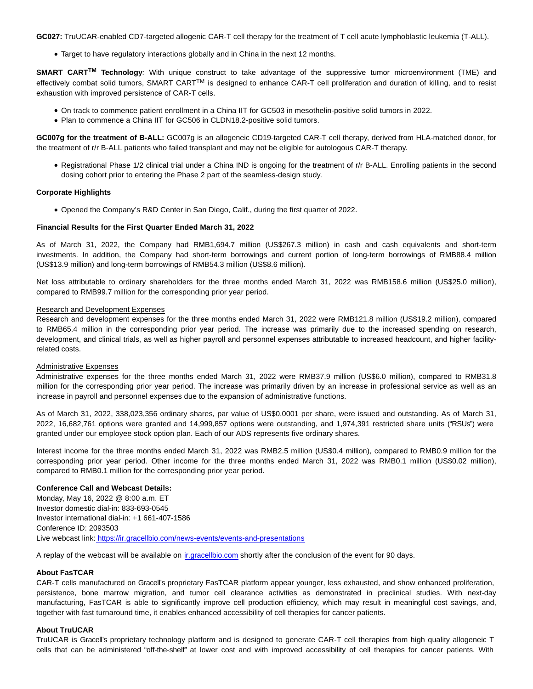**GC027:** TruUCAR-enabled CD7-targeted allogenic CAR-T cell therapy for the treatment of T cell acute lymphoblastic leukemia (T-ALL).

Target to have regulatory interactions globally and in China in the next 12 months.

**SMART CARTTM Technology**: With unique construct to take advantage of the suppressive tumor microenvironment (TME) and effectively combat solid tumors, SMART CART<sup>TM</sup> is designed to enhance CAR-T cell proliferation and duration of killing, and to resist exhaustion with improved persistence of CAR-T cells.

- On track to commence patient enrollment in a China IIT for GC503 in mesothelin-positive solid tumors in 2022.
- Plan to commence a China IIT for GC506 in CLDN18.2-positive solid tumors.

**GC007g for the treatment of B-ALL:** GC007g is an allogeneic CD19-targeted CAR-T cell therapy, derived from HLA-matched donor, for the treatment of r/r B-ALL patients who failed transplant and may not be eligible for autologous CAR-T therapy.

Registrational Phase 1/2 clinical trial under a China IND is ongoing for the treatment of r/r B-ALL. Enrolling patients in the second dosing cohort prior to entering the Phase 2 part of the seamless-design study.

#### **Corporate Highlights**

Opened the Company's R&D Center in San Diego, Calif., during the first quarter of 2022.

#### **Financial Results for the First Quarter Ended March 31, 2022**

As of March 31, 2022, the Company had RMB1,694.7 million (US\$267.3 million) in cash and cash equivalents and short-term investments. In addition, the Company had short-term borrowings and current portion of long-term borrowings of RMB88.4 million (US\$13.9 million) and long-term borrowings of RMB54.3 million (US\$8.6 million).

Net loss attributable to ordinary shareholders for the three months ended March 31, 2022 was RMB158.6 million (US\$25.0 million), compared to RMB99.7 million for the corresponding prior year period.

#### Research and Development Expenses

Research and development expenses for the three months ended March 31, 2022 were RMB121.8 million (US\$19.2 million), compared to RMB65.4 million in the corresponding prior year period. The increase was primarily due to the increased spending on research, development, and clinical trials, as well as higher payroll and personnel expenses attributable to increased headcount, and higher facilityrelated costs.

#### Administrative Expenses

Administrative expenses for the three months ended March 31, 2022 were RMB37.9 million (US\$6.0 million), compared to RMB31.8 million for the corresponding prior year period. The increase was primarily driven by an increase in professional service as well as an increase in payroll and personnel expenses due to the expansion of administrative functions.

As of March 31, 2022, 338,023,356 ordinary shares, par value of US\$0.0001 per share, were issued and outstanding. As of March 31, 2022, 16,682,761 options were granted and 14,999,857 options were outstanding, and 1,974,391 restricted share units ("RSUs") were granted under our employee stock option plan. Each of our ADS represents five ordinary shares.

Interest income for the three months ended March 31, 2022 was RMB2.5 million (US\$0.4 million), compared to RMB0.9 million for the corresponding prior year period. Other income for the three months ended March 31, 2022 was RMB0.1 million (US\$0.02 million), compared to RMB0.1 million for the corresponding prior year period.

#### **Conference Call and Webcast Details:**

Monday, May 16, 2022 @ 8:00 a.m. ET Investor domestic dial-in: 833-693-0545 Investor international dial-in: +1 661-407-1586 Conference ID: 2093503 Live webcast link[: https://ir.gracellbio.com/news-events/events-and-presentations](https://www.globenewswire.com/Tracker?data=nnUNkra4k0RxUo7_FMuDPE7Lc0Qvjdh4-A2h-CIKyeA41qaxoB6ZgKOjvDzhMRqTtPiTDhl5uouZfIf8TRd2WbORZada2zYQfCBJrke1CRJ8A-kInHcEYaMxqJmVrGDEpSDW44TJeqN3X4QT2wocfbG9OzE7ayFS1SrXWVWPYHM6AtGvIY8SqKV5-DSlGqvsD-bz4V8_s5v5RM7CcNZ36A==)

A replay of the webcast will be available on [ir.gracellbio.com s](https://www.globenewswire.com/Tracker?data=ObVDv1_X9VC3TtXCa2apQHVX0rKfwHEMh_TEi7oSTzwozEhczDApHBilmLc46YNL1iHEvkMT32mMc_dXssh7RXNlRARVaj2WbW9nEu8LMv8=)hortly after the conclusion of the event for 90 days.

#### **About FasTCAR**

CAR-T cells manufactured on Gracell's proprietary FasTCAR platform appear younger, less exhausted, and show enhanced proliferation, persistence, bone marrow migration, and tumor cell clearance activities as demonstrated in preclinical studies. With next-day manufacturing, FasTCAR is able to significantly improve cell production efficiency, which may result in meaningful cost savings, and, together with fast turnaround time, it enables enhanced accessibility of cell therapies for cancer patients.

#### **About TruUCAR**

TruUCAR is Gracell's proprietary technology platform and is designed to generate CAR-T cell therapies from high quality allogeneic T cells that can be administered "off-the-shelf" at lower cost and with improved accessibility of cell therapies for cancer patients. With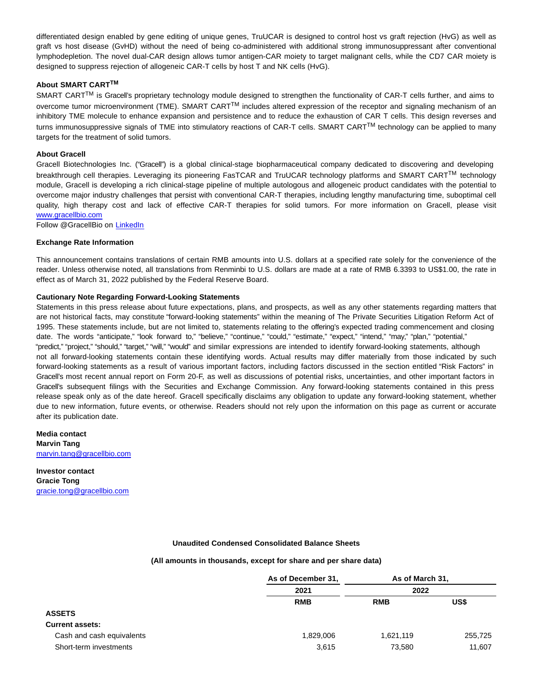differentiated design enabled by gene editing of unique genes, TruUCAR is designed to control host vs graft rejection (HvG) as well as graft vs host disease (GvHD) without the need of being co-administered with additional strong immunosuppressant after conventional lymphodepletion. The novel dual-CAR design allows tumor antigen-CAR moiety to target malignant cells, while the CD7 CAR moiety is designed to suppress rejection of allogeneic CAR-T cells by host T and NK cells (HvG).

#### **About SMART CARTTM**

SMART CART™ is Gracell's proprietary technology module designed to strengthen the functionality of CAR-T cells further, and aims to overcome tumor microenvironment (TME). SMART CARTTM includes altered expression of the receptor and signaling mechanism of an inhibitory TME molecule to enhance expansion and persistence and to reduce the exhaustion of CAR T cells. This design reverses and turns immunosuppressive signals of TME into stimulatory reactions of CAR-T cells. SMART CART<sup>TM</sup> technology can be applied to many targets for the treatment of solid tumors.

#### **About Gracell**

Gracell Biotechnologies Inc. ("Gracell") is a global clinical-stage biopharmaceutical company dedicated to discovering and developing breakthrough cell therapies. Leveraging its pioneering FasTCAR and TruUCAR technology platforms and SMART CART<sup>TM</sup> technology module, Gracell is developing a rich clinical-stage pipeline of multiple autologous and allogeneic product candidates with the potential to overcome major industry challenges that persist with conventional CAR-T therapies, including lengthy manufacturing time, suboptimal cell quality, high therapy cost and lack of effective CAR-T therapies for solid tumors. For more information on Gracell, please visit [www.gracellbio.com](https://www.globenewswire.com/Tracker?data=g2vAf5jaLcwofJgFf2qZ-ofWtPFXSL1njQfH_d76r-eCLcpgDYvs_XJht2YSKRN_2DJTFthw5H9wYxOBvcmrET8NU81x_gZVMfeexeB4xw4=)

Follow @GracellBio on [LinkedIn](https://www.globenewswire.com/Tracker?data=qDWrClVWGnSvBM46Op08DXlPuPI7SFMqiA6VgNVCUAIp79X0HNd9xXYZ-YTzvTDSzJo2IcapAxEnlkqw6H_80ZwtB_sK3Uko3I0-faIm6Qk=)

#### **Exchange Rate Information**

This announcement contains translations of certain RMB amounts into U.S. dollars at a specified rate solely for the convenience of the reader. Unless otherwise noted, all translations from Renminbi to U.S. dollars are made at a rate of RMB 6.3393 to US\$1.00, the rate in effect as of March 31, 2022 published by the Federal Reserve Board.

#### **Cautionary Note Regarding Forward-Looking Statements**

Statements in this press release about future expectations, plans, and prospects, as well as any other statements regarding matters that are not historical facts, may constitute "forward-looking statements" within the meaning of The Private Securities Litigation Reform Act of 1995. These statements include, but are not limited to, statements relating to the offering's expected trading commencement and closing date. The words "anticipate," "look forward to," "believe," "continue," "could," "estimate," "expect," "intend," "may," "plan," "potential," "predict," "project," "should," "target," "will," "would" and similar expressions are intended to identify forward-looking statements, although not all forward-looking statements contain these identifying words. Actual results may differ materially from those indicated by such forward-looking statements as a result of various important factors, including factors discussed in the section entitled "Risk Factors" in Gracell's most recent annual report on Form 20-F, as well as discussions of potential risks, uncertainties, and other important factors in Gracell's subsequent filings with the Securities and Exchange Commission. Any forward-looking statements contained in this press release speak only as of the date hereof. Gracell specifically disclaims any obligation to update any forward-looking statement, whether due to new information, future events, or otherwise. Readers should not rely upon the information on this page as current or accurate after its publication date.

**Media contact Marvin Tang** [marvin.tang@gracellbio.com](https://www.globenewswire.com/Tracker?data=qAsgEeAXYwG-htKzQBsDWxPKUdfvBAerZrysFtSB2wPRnzPc5rqt5Dl8EcPEny6ZE_e6lIaBrEpgpQ3Jc_dBFLWCfY3VHD1esgnbjzxKOYdUkcItklkH_dmk2jPFtpEi)

**Investor contact Gracie Tong** [gracie.tong@gracellbio.com](https://www.globenewswire.com/Tracker?data=IYns1435NnbS03WBAruqHsNjjqqA2eOa15_hBsaEHT2i08hFzZln2f7vpmoaJELVonOPr-TPOOKa29sUv5wHmo6VLq-5wFAuGwUZWMgzR1GejvFw2DBLBeZi8-c2zBrb)

#### **Unaudited Condensed Consolidated Balance Sheets**

#### **(All amounts in thousands, except for share and per share data)**

|                           | As of December 31, | As of March 31, |         |
|---------------------------|--------------------|-----------------|---------|
|                           | 2021<br><b>RMB</b> | 2022            |         |
|                           |                    | <b>RMB</b>      | US\$    |
| <b>ASSETS</b>             |                    |                 |         |
| <b>Current assets:</b>    |                    |                 |         |
| Cash and cash equivalents | 1,829,006          | 1,621,119       | 255,725 |
| Short-term investments    | 3,615              | 73.580          | 11,607  |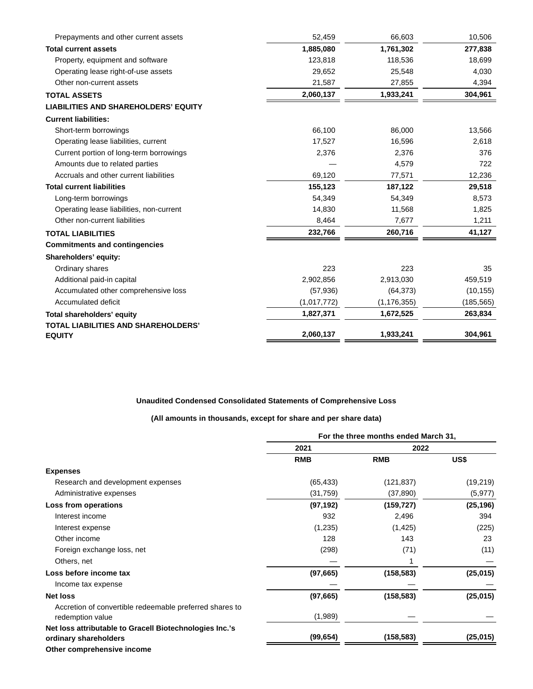| Prepayments and other current assets        | 52,459      | 66,603        | 10,506     |
|---------------------------------------------|-------------|---------------|------------|
| <b>Total current assets</b>                 | 1,885,080   | 1,761,302     | 277,838    |
| Property, equipment and software            | 123,818     | 118,536       | 18,699     |
| Operating lease right-of-use assets         | 29,652      | 25,548        | 4,030      |
| Other non-current assets                    | 21,587      | 27,855        | 4,394      |
| <b>TOTAL ASSETS</b>                         | 2,060,137   | 1,933,241     | 304,961    |
| <b>LIABILITIES AND SHAREHOLDERS' EQUITY</b> |             |               |            |
| <b>Current liabilities:</b>                 |             |               |            |
| Short-term borrowings                       | 66,100      | 86,000        | 13,566     |
| Operating lease liabilities, current        | 17,527      | 16,596        | 2,618      |
| Current portion of long-term borrowings     | 2,376       | 2,376         | 376        |
| Amounts due to related parties              |             | 4,579         | 722        |
| Accruals and other current liabilities      | 69,120      | 77,571        | 12,236     |
| <b>Total current liabilities</b>            | 155,123     | 187,122       | 29,518     |
| Long-term borrowings                        | 54,349      | 54,349        | 8,573      |
| Operating lease liabilities, non-current    | 14,830      | 11,568        | 1,825      |
| Other non-current liabilities               | 8,464       | 7,677         | 1,211      |
| <b>TOTAL LIABILITIES</b>                    | 232,766     | 260,716       | 41,127     |
| <b>Commitments and contingencies</b>        |             |               |            |
| Shareholders' equity:                       |             |               |            |
| Ordinary shares                             | 223         | 223           | 35         |
| Additional paid-in capital                  | 2,902,856   | 2,913,030     | 459,519    |
| Accumulated other comprehensive loss        | (57, 936)   | (64, 373)     | (10, 155)  |
| Accumulated deficit                         | (1,017,772) | (1, 176, 355) | (185, 565) |
| Total shareholders' equity                  | 1,827,371   | 1,672,525     | 263,834    |
| <b>TOTAL LIABILITIES AND SHAREHOLDERS'</b>  |             |               |            |
| <b>EQUITY</b>                               | 2,060,137   | 1,933,241     | 304,961    |

### **Unaudited Condensed Consolidated Statements of Comprehensive Loss**

### **(All amounts in thousands, except for share and per share data)**

|                                                         | For the three months ended March 31, |            |           |
|---------------------------------------------------------|--------------------------------------|------------|-----------|
|                                                         | 2021                                 | 2022       |           |
|                                                         | <b>RMB</b>                           | <b>RMB</b> | US\$      |
| <b>Expenses</b>                                         |                                      |            |           |
| Research and development expenses                       | (65, 433)                            | (121, 837) | (19, 219) |
| Administrative expenses                                 | (31, 759)                            | (37, 890)  | (5, 977)  |
| Loss from operations                                    | (97, 192)                            | (159, 727) | (25, 196) |
| Interest income                                         | 932                                  | 2,496      | 394       |
| Interest expense                                        | (1,235)                              | (1, 425)   | (225)     |
| Other income                                            | 128                                  | 143        | 23        |
| Foreign exchange loss, net                              | (298)                                | (71)       | (11)      |
| Others, net                                             |                                      |            |           |
| Loss before income tax                                  | (97, 665)                            | (158, 583) | (25, 015) |
| Income tax expense                                      |                                      |            |           |
| <b>Net loss</b>                                         | (97, 665)                            | (158, 583) | (25, 015) |
| Accretion of convertible redeemable preferred shares to |                                      |            |           |
| redemption value                                        | (1,989)                              |            |           |
| Net loss attributable to Gracell Biotechnologies Inc.'s |                                      |            |           |
| ordinary shareholders                                   | (99, 654)                            | (158, 583) | (25, 015) |
| Other comprehensive income                              |                                      |            |           |